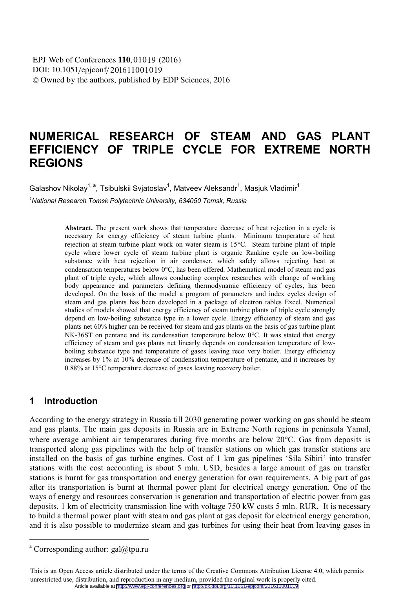# **NUMERICAL RESEARCH OF STEAM AND GAS PLANT EFFICIENCY OF TRIPLE CYCLE FOR EXTREME NORTH REGIONS**

Galashov Nikolav<sup>1, a</sup>. Tsibulskii Sviatoslav<sup>1</sup>. Matveev Aleksandr<sup>1</sup>. Masiuk Vladimir<sup>1</sup>

*1 National Research Tomsk Polytechnic University, 634050 Tomsk, Russia* 

**Abstract.** The present work shows that temperature decrease of heat rejection in a cycle is necessary for energy efficiency of steam turbine plants. Minimum temperature of heat rejection at steam turbine plant work on water steam is 15°C. Steam turbine plant of triple cycle where lower cycle of steam turbine plant is organic Rankine cycle on low-boiling substance with heat rejection in air condenser, which safely allows rejecting heat at condensation temperatures below 0°C, has been offered. Mathematical model of steam and gas plant of triple cycle, which allows conducting complex researches with change of working body appearance and parameters defining thermodynamic efficiency of cycles, has been developed. On the basis of the model a program of parameters and index cycles design of steam and gas plants has been developed in a package of electron tables Excel. Numerical studies of models showed that energy efficiency of steam turbine plants of triple cycle strongly depend on low-boiling substance type in a lower cycle. Energy efficiency of steam and gas plants net 60% higher can be received for steam and gas plants on the basis of gas turbine plant NK-36ST on pentane and its condensation temperature below 0°C. It was stated that energy efficiency of steam and gas plants net linearly depends on condensation temperature of lowboiling substance type and temperature of gases leaving reco very boiler. Energy efficiency increases by 1% at 10% decrease of condensation temperature of pentane, and it increases by 0.88% at 15°C temperature decrease of gases leaving recovery boiler.

### **1 Introduction**

According to the energy strategy in Russia till 2030 generating power working on gas should be steam and gas plants. The main gas deposits in Russia are in Extreme North regions in peninsula Yamal, where average ambient air temperatures during five months are below 20°C. Gas from deposits is transported along gas pipelines with the help of transfer stations on which gas transfer stations are installed on the basis of gas turbine engines. Cost of 1 km gas pipelines 'Sila Sibiri' into transfer stations with the cost accounting is about 5 mln. USD, besides a large amount of gas on transfer stations is burnt for gas transportation and energy generation for own requirements. A big part of gas after its transportation is burnt at thermal power plant for electrical energy generation. One of the ways of energy and resources conservation is generation and transportation of electric power from gas deposits. 1 km of electricity transmission line with voltage 750 kW costs 5 mln. RUR. It is necessary to build a thermal power plant with steam and gas plant at gas deposit for electrical energy generation, and it is also possible to modernize steam and gas turbines for using their heat from leaving gases in

 $\overline{a}$ 

<sup>&</sup>lt;sup>a</sup> Corresponding author: gal@tpu.ru

This is an Open Access article distributed under the terms of the Creative Commons Attribution License 4.0, which permits unrestricted use, distribution, and reproduction in any medium, provided the original work is properly cited. Article available at <http://www.epj-conferences.org> or <http://dx.doi.org/10.1051/epjconf/201611001019>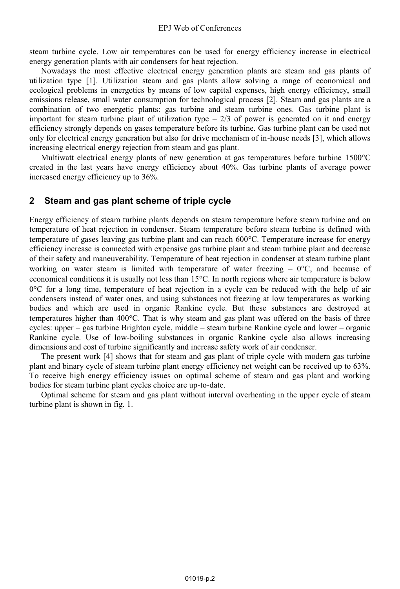steam turbine cycle. Low air temperatures can be used for energy efficiency increase in electrical energy generation plants with air condensers for heat rejection.

Nowadays the most effective electrical energy generation plants are steam and gas plants of utilization type [1]. Utilization steam and gas plants allow solving a range of economical and ecological problems in energetics by means of low capital expenses, high energy efficiency, small emissions release, small water consumption for technological process [2]. Steam and gas plants are a combination of two energetic plants: gas turbine and steam turbine ones. Gas turbine plant is important for steam turbine plant of utilization type  $-2/3$  of power is generated on it and energy efficiency strongly depends on gases temperature before its turbine. Gas turbine plant can be used not only for electrical energy generation but also for drive mechanism of in-house needs [3], which allows increasing electrical energy rejection from steam and gas plant.

Multiwatt electrical energy plants of new generation at gas temperatures before turbine 1500°C created in the last years have energy efficiency about 40%. Gas turbine plants of average power increased energy efficiency up to 36%.

### **2 Steam and gas plant scheme of triple cycle**

Energy efficiency of steam turbine plants depends on steam temperature before steam turbine and on temperature of heat rejection in condenser. Steam temperature before steam turbine is defined with temperature of gases leaving gas turbine plant and can reach 600°C. Temperature increase for energy efficiency increase is connected with expensive gas turbine plant and steam turbine plant and decrease of their safety and maneuverability. Temperature of heat rejection in condenser at steam turbine plant working on water steam is limited with temperature of water freezing  $-0$ °C, and because of economical conditions it is usually not less than 15°C. In north regions where air temperature is below 0°C for a long time, temperature of heat rejection in a cycle can be reduced with the help of air condensers instead of water ones, and using substances not freezing at low temperatures as working bodies and which are used in organic Rankine cycle. But these substances are destroyed at temperatures higher than 400°C. That is why steam and gas plant was offered on the basis of three cycles: upper – gas turbine Brighton cycle, middle – steam turbine Rankine cycle and lower – organic Rankine cycle. Use of low-boiling substances in organic Rankine cycle also allows increasing dimensions and cost of turbine significantly and increase safety work of air condenser.

The present work [4] shows that for steam and gas plant of triple cycle with modern gas turbine plant and binary cycle of steam turbine plant energy efficiency net weight can be received up to 63%. To receive high energy efficiency issues on optimal scheme of steam and gas plant and working bodies for steam turbine plant cycles choice are up-to-date.

Optimal scheme for steam and gas plant without interval overheating in the upper cycle of steam turbine plant is shown in fig. 1.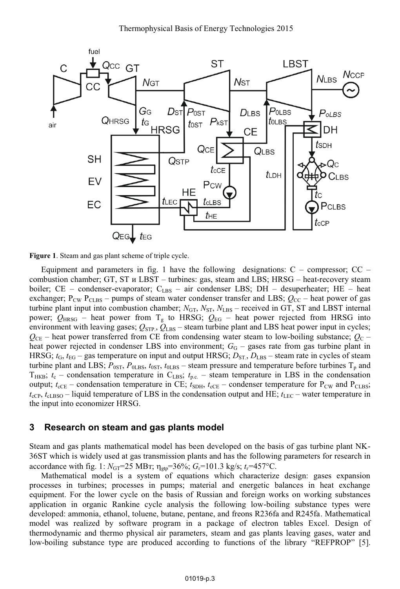

**Figure 1**. Steam and gas plant scheme of triple cycle.

Equipment and parameters in fig. 1 have the following designations:  $C$  – compressor;  $CC$  – combustion chamber; GТ, SТ и LBSТ – turbines: gas, steam and LBS; HRSG – heat-recovery steam boiler; CE – condenser-evaporator;  $C_{\text{LBS}}$  – air condenser LBS; DH – desuperheater; HE – heat exchanger;  $P_{\text{CW}} P_{\text{CLBS}}$  – pumps of steam water condenser transfer and LBS;  $Q_{\text{CC}}$  – heat power of gas turbine plant input into combustion chamber;  $N_{GT}$ ,  $N_{ST}$ ,  $N_{LBS}$  – received in GT, ST and LBST internal power;  $Q_{H RSG}$  – heat power from T<sub>g</sub> to HRSG;  $Q_{EG}$  – heat power rejected from HRSG into environment with leaving gases;  $Q_{\text{STP}}$ ,  $Q_{\text{LBS}}$  – steam turbine plant and LBS heat power input in cycles;  $Q_{CE}$  – heat power transferred from CE from condensing water steam to low-boiling substance;  $Q_{C}$  – heat power rejected in condenser LBS into environment;  $G_G$  – gases rate from gas turbine plant in HRSG;  $t_G$ ,  $t_{G}$  – gas temperature on input and output HRSG;  $D_{ST}$ ,  $D_{LBS}$  – steam rate in cycles of steam turbine plant and LBS;  $P_{0ST}$ ,  $P_{0LBS}$ ,  $t_{0ST}$ ,  $t_{0LBS}$  – steam pressure and temperature before turbines  $T_p$  and T<sub>HKB</sub>;  $t_c$  – condensation temperature in C<sub>LBS</sub>;  $t_{p.c.}$  – steam temperature in LBS in the condensation output;  $t_{cCE}$  – condensation temperature in CE;  $t_{SDH}$ ,  $t_{cCE}$  – condenser temperature for  $P_{CW}$  and  $P_{CLBS}$ ;  $t_{\rm cCP}$ ,  $t_{\rm cLBSO}$  – liquid temperature of LBS in the condensation output and HE;  $t_{\rm LEC}$  – water temperature in the input into economizer HRSG.

### **3 Research on steam and gas plants model**

Steam and gas plants mathematical model has been developed on the basis of gas turbine plant NK-36ST which is widely used at gas transmission plants and has the following parameters for research in accordance with fig. 1:  $N_{\text{GT}} = 25 \text{ MBr}$ ;  $\eta_{\text{gt}} = 36\%$ ;  $G_r = 101.3 \text{ kg/s}$ ;  $t_r = 457\text{°C}$ .

Mathematical model is a system of equations which characterize design: gases expansion processes in turbines; processes in pumps; material and energetic balances in heat exchange equipment. For the lower cycle on the basis of Russian and foreign works on working substances application in organic Rankine cycle analysis the following low-boiling substance types were developed: ammonia, ethanol, toluene, butane, pentane, and freons R236fa and R245fa. Mathematical model was realized by software program in a package of electron tables Excel. Design of thermodynamic and thermo physical air parameters, steam and gas plants leaving gases, water and low-boiling substance type are produced according to functions of the library "REFPROP" [5].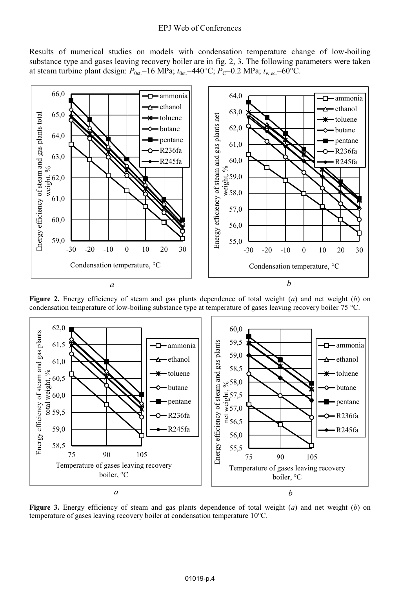#### EPJ Web of Conferences

Results of numerical studies on models with condensation temperature change of low-boiling substance type and gases leaving recovery boiler are in fig. 2, 3. The following parameters were taken at steam turbine plant design:  $P_{0st}$ =16 MPa;  $t_{0st}$ =440°C;  $P_C$ =0.2 MPa;  $t_{w,ec}$ =60°C.



**Figure 2.** Energy efficiency of steam and gas plants dependence of total weight (*a*) and net weight (*b*) on condensation temperature of low-boiling substance type at temperature of gases leaving recovery boiler 75 °C.



**Figure 3.** Energy efficiency of steam and gas plants dependence of total weight (*a*) and net weight (*b*) on temperature of gases leaving recovery boiler at condensation temperature 10°С.